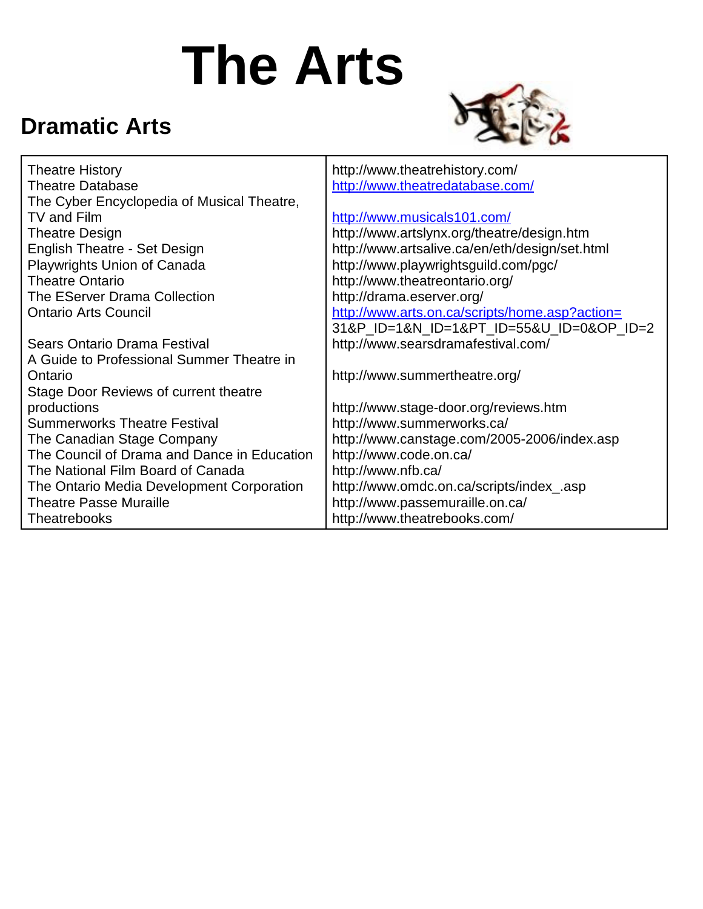# **The Arts**

#### **Dramatic Arts**



| <b>Theatre History</b>                      | http://www.theatrehistory.com/                 |
|---------------------------------------------|------------------------------------------------|
| <b>Theatre Database</b>                     | http://www.theatredatabase.com/                |
| The Cyber Encyclopedia of Musical Theatre,  |                                                |
| TV and Film                                 | http://www.musicals101.com/                    |
| <b>Theatre Design</b>                       | http://www.artslynx.org/theatre/design.htm     |
| <b>English Theatre - Set Design</b>         | http://www.artsalive.ca/en/eth/design/set.html |
| Playwrights Union of Canada                 | http://www.playwrightsguild.com/pgc/           |
| <b>Theatre Ontario</b>                      | http://www.theatreontario.org/                 |
| The EServer Drama Collection                | http://drama.eserver.org/                      |
| <b>Ontario Arts Council</b>                 | http://www.arts.on.ca/scripts/home.asp?action= |
|                                             | 31&P_ID=1&N_ID=1&PT_ID=55&U_ID=0&OP_ID=2       |
| <b>Sears Ontario Drama Festival</b>         | http://www.searsdramafestival.com/             |
| A Guide to Professional Summer Theatre in   |                                                |
| Ontario                                     | http://www.summertheatre.org/                  |
| Stage Door Reviews of current theatre       |                                                |
| productions                                 | http://www.stage-door.org/reviews.htm          |
| <b>Summerworks Theatre Festival</b>         | http://www.summerworks.ca/                     |
| The Canadian Stage Company                  | http://www.canstage.com/2005-2006/index.asp    |
| The Council of Drama and Dance in Education | http://www.code.on.ca/                         |
| The National Film Board of Canada           | http://www.nfb.ca/                             |
| The Ontario Media Development Corporation   | http://www.omdc.on.ca/scripts/index_.asp       |
| <b>Theatre Passe Muraille</b>               | http://www.passemuraille.on.ca/                |
| Theatrebooks                                | http://www.theatrebooks.com/                   |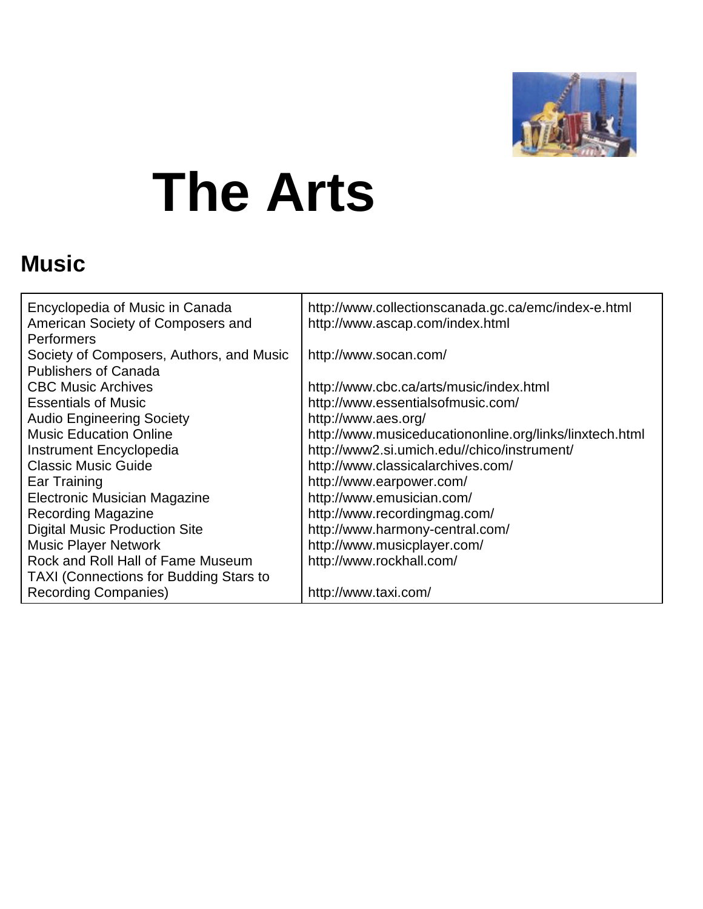

## **The Arts**

#### **Music**

| Encyclopedia of Music in Canada<br>American Society of Composers and<br><b>Performers</b> | http://www.collectionscanada.gc.ca/emc/index-e.html<br>http://www.ascap.com/index.html |
|-------------------------------------------------------------------------------------------|----------------------------------------------------------------------------------------|
| Society of Composers, Authors, and Music                                                  | http://www.socan.com/                                                                  |
| <b>Publishers of Canada</b>                                                               |                                                                                        |
| <b>CBC Music Archives</b>                                                                 | http://www.cbc.ca/arts/music/index.html                                                |
| <b>Essentials of Music</b>                                                                | http://www.essentialsofmusic.com/                                                      |
| <b>Audio Engineering Society</b>                                                          | http://www.aes.org/                                                                    |
| <b>Music Education Online</b>                                                             | http://www.musiceducationonline.org/links/linxtech.html                                |
| Instrument Encyclopedia                                                                   | http://www2.si.umich.edu//chico/instrument/                                            |
| <b>Classic Music Guide</b>                                                                | http://www.classicalarchives.com/                                                      |
| Ear Training                                                                              | http://www.earpower.com/                                                               |
| Electronic Musician Magazine                                                              | http://www.emusician.com/                                                              |
| <b>Recording Magazine</b>                                                                 | http://www.recordingmag.com/                                                           |
| <b>Digital Music Production Site</b>                                                      | http://www.harmony-central.com/                                                        |
| <b>Music Player Network</b>                                                               | http://www.musicplayer.com/                                                            |
| Rock and Roll Hall of Fame Museum                                                         | http://www.rockhall.com/                                                               |
| <b>TAXI (Connections for Budding Stars to</b>                                             |                                                                                        |
| <b>Recording Companies)</b>                                                               | http://www.taxi.com/                                                                   |